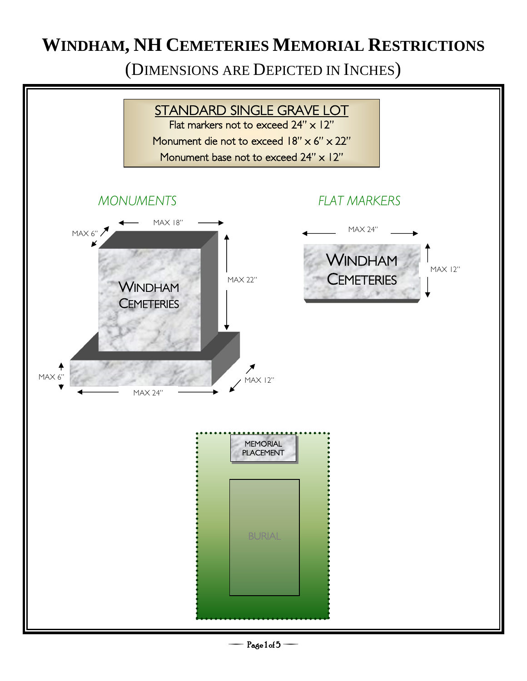(DIMENSIONS ARE DEPICTED IN INCHES)

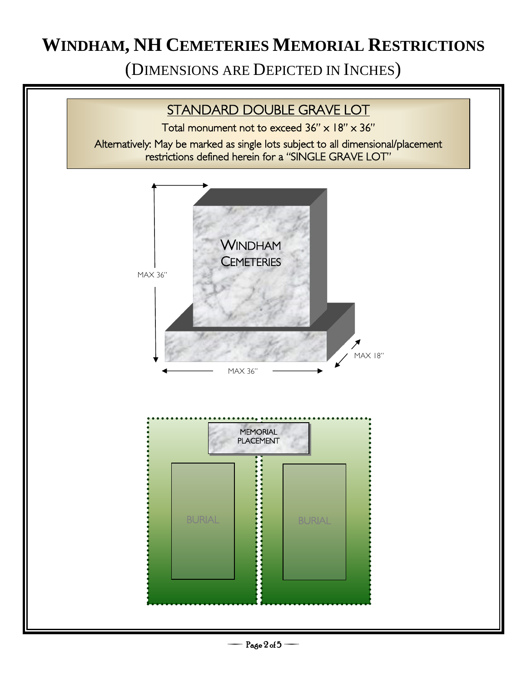(DIMENSIONS ARE DEPICTED IN INCHES)

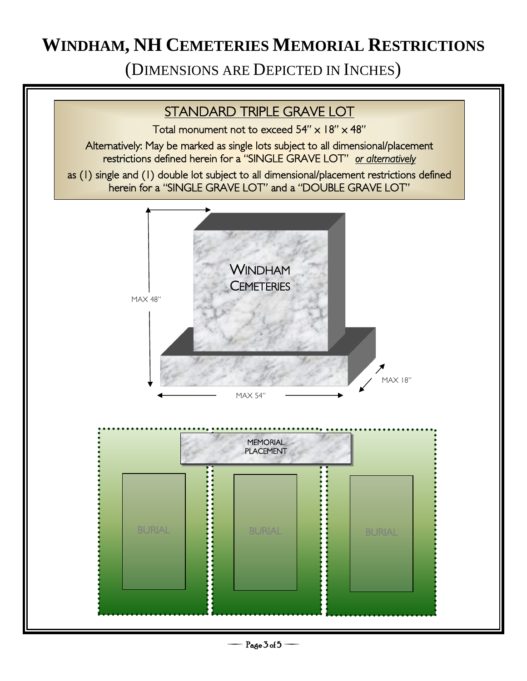(DIMENSIONS ARE DEPICTED IN INCHES)



Page 3 of 5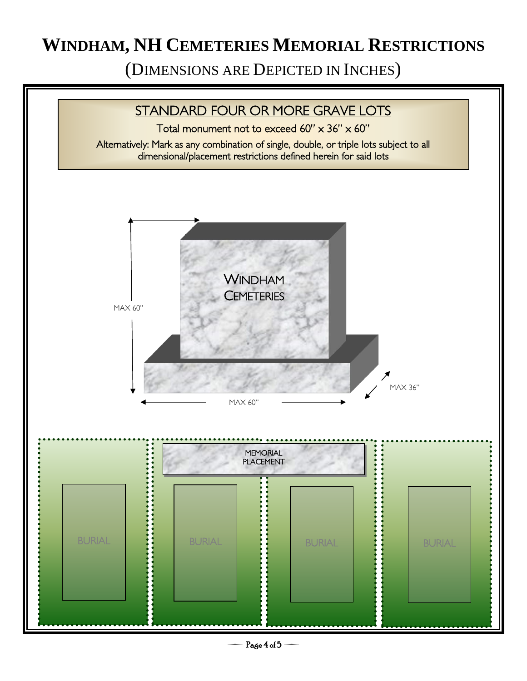(DIMENSIONS ARE DEPICTED IN INCHES)